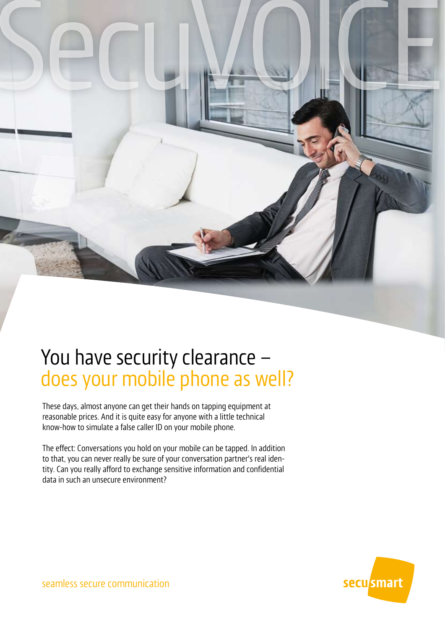

# You have security clearance – does your mobile phone as well?

These days, almost anyone can get their hands on tapping equipment at reasonable prices. And it is quite easy for anyone with a little technical know-how to simulate a false caller ID on your mobile phone.

The effect: Conversations you hold on your mobile can be tapped. In addition to that, you can never really be sure of your conversation partner's real identity. Can you really afford to exchange sensitive information and confidential data in such an unsecure environment?